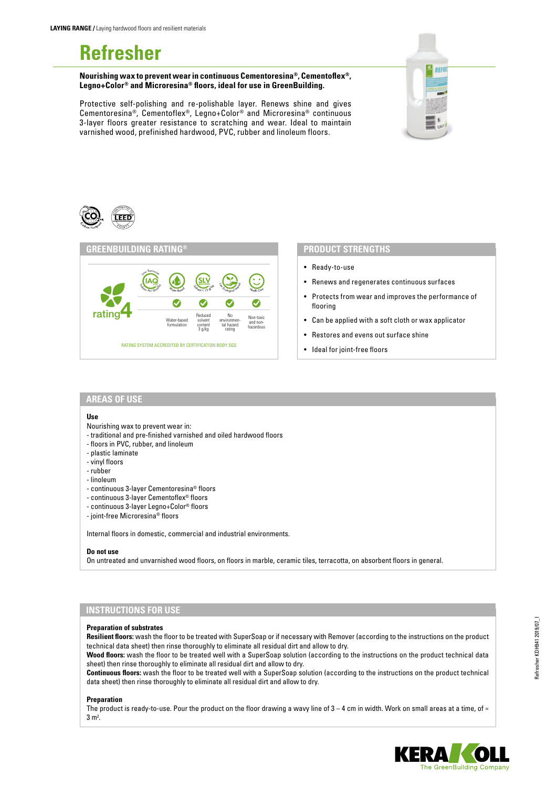# **Refresher**

**Nourishing wax to prevent wear in continuous Cementoresina®, Cementoflex®, Legno+Color® and Microresina® floors, ideal for use in GreenBuilding.**

Protective self-polishing and re-polishable layer. Renews shine and gives Cementoresina®, Cementoflex®, Legno+Color® and Microresina® continuous 3-layer floors greater resistance to scratching and wear. Ideal to maintain varnished wood, prefinished hardwood, PVC, rubber and linoleum floors.







## **PRODUCT STRENGTHS**

- Ready-to-use
- Renews and regenerates continuous surfaces
- Protects from wear and improves the performance of flooring
- Can be applied with a soft cloth or wax applicator
- Restores and evens out surface shine
- Ideal for joint-free floors

## **AREAS OF USE**

### **Use**

- Nourishing wax to prevent wear in:
- traditional and pre-finished varnished and oiled hardwood floors
- floors in PVC, rubber, and linoleum
- plastic laminate
- vinyl floors
- rubber
- linoleum
- continuous 3-layer Cementoresina® floors
- continuous 3-layer Cementoflex® floors
- continuous 3-layer Legno+Color® floors
- joint-free Microresina® floors

Internal floors in domestic, commercial and industrial environments.

#### **Do not use**

On untreated and unvarnished wood floors, on floors in marble, ceramic tiles, terracotta, on absorbent floors in general.

# **INSTRUCTIONS FOR USE**

## **Preparation of substrates**

**Resilient floors:** wash the floor to be treated with SuperSoap or if necessary with Remover (according to the instructions on the product technical data sheet) then rinse thoroughly to eliminate all residual dirt and allow to dry.

**Wood floors:** wash the floor to be treated well with a SuperSoap solution (according to the instructions on the product technical data sheet) then rinse thoroughly to eliminate all residual dirt and allow to dry.

**Continuous floors:** wash the floor to be treated well with a SuperSoap solution (according to the instructions on the product technical data sheet) then rinse thoroughly to eliminate all residual dirt and allow to dry.

#### **Preparation**

The product is ready-to-use. Pour the product on the floor drawing a wavy line of  $3 - 4$  cm in width. Work on small areas at a time, of  $\approx$  $3 m<sup>2</sup>$ .